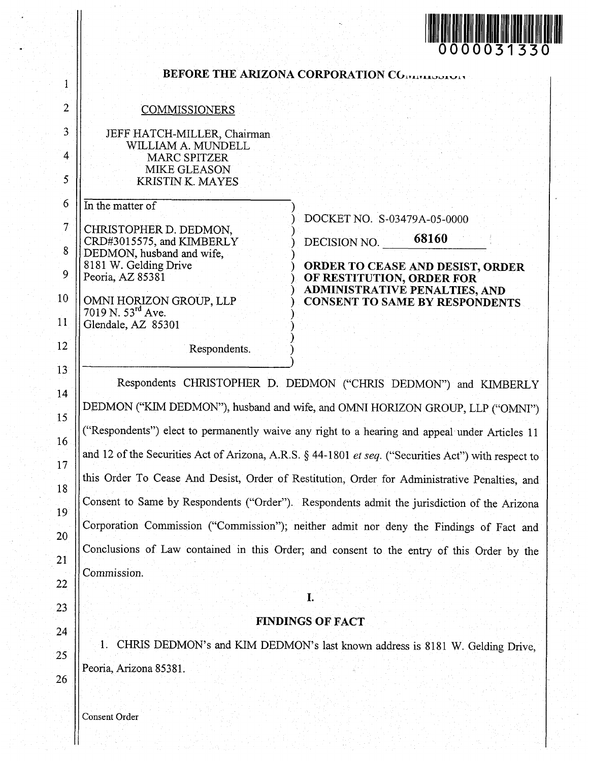

<span id="page-0-0"></span>

|                                                     |                                                                                                                                                                                                                                                                                                                                                                                                                                                                                                                                                                                  | 0000031330                                                                                                                                                                                             |
|-----------------------------------------------------|----------------------------------------------------------------------------------------------------------------------------------------------------------------------------------------------------------------------------------------------------------------------------------------------------------------------------------------------------------------------------------------------------------------------------------------------------------------------------------------------------------------------------------------------------------------------------------|--------------------------------------------------------------------------------------------------------------------------------------------------------------------------------------------------------|
| 1                                                   | BEFORE THE ARIZONA CORPORATION COMMUNISMENT                                                                                                                                                                                                                                                                                                                                                                                                                                                                                                                                      |                                                                                                                                                                                                        |
| $\overline{2}$                                      | <b>COMMISSIONERS</b>                                                                                                                                                                                                                                                                                                                                                                                                                                                                                                                                                             |                                                                                                                                                                                                        |
| 3<br>$\overline{4}$<br>5                            | JEFF HATCH-MILLER, Chairman<br>WILLIAM A. MUNDELL<br><b>MARC SPITZER</b><br><b>MIKE GLEASON</b><br><b>KRISTIN K. MAYES</b>                                                                                                                                                                                                                                                                                                                                                                                                                                                       |                                                                                                                                                                                                        |
| 6<br>$\overline{\mathcal{I}}$<br>8<br>9<br>10<br>11 | In the matter of<br>CHRISTOPHER D. DEDMON,<br>CRD#3015575, and KIMBERLY<br>DEDMON, husband and wife,<br>8181 W. Gelding Drive<br>Peoria, AZ 85381<br>OMNI HORIZON GROUP, LLP<br>7019 N. 53rd Ave.<br>Glendale, AZ 85301                                                                                                                                                                                                                                                                                                                                                          | DOCKET NO. S-03479A-05-0000<br>68160<br>DECISION NO.<br>ORDER TO CEASE AND DESIST, ORDER<br>OF RESTITUTION, ORDER FOR<br><b>ADMINISTRATIVE PENALTIES, AND</b><br><b>CONSENT TO SAME BY RESPONDENTS</b> |
| 12 <sup>2</sup>                                     | Respondents.                                                                                                                                                                                                                                                                                                                                                                                                                                                                                                                                                                     |                                                                                                                                                                                                        |
| 13 <sup>°</sup><br>14<br>15<br>16<br>17<br>18<br>19 | DEDMON ("KIM DEDMON"), husband and wife, and OMNI HORIZON GROUP, LLP ("OMNI")<br>"Respondents") elect to permanently waive any right to a hearing and appeal under Articles 11<br>and 12 of the Securities Act of Arizona, A.R.S. § 44-1801 et seq. ("Securities Act") with respect to<br>this Order To Cease And Desist, Order of Restitution, Order for Administrative Penalties, and<br>Consent to Same by Respondents ("Order"). Respondents admit the jurisdiction of the Arizona<br>Corporation Commission ("Commission"); neither admit nor deny the Findings of Fact and | Respondents CHRISTOPHER D. DEDMON ("CHRIS DEDMON") and KIMBERLY                                                                                                                                        |
| 20<br>21<br>22                                      | Conclusions of Law contained in this Order; and consent to the entry of this Order by the<br>Commission.                                                                                                                                                                                                                                                                                                                                                                                                                                                                         |                                                                                                                                                                                                        |
| 23                                                  | I.                                                                                                                                                                                                                                                                                                                                                                                                                                                                                                                                                                               |                                                                                                                                                                                                        |
| 24                                                  | <b>FINDINGS OF FACT</b>                                                                                                                                                                                                                                                                                                                                                                                                                                                                                                                                                          |                                                                                                                                                                                                        |
| 25                                                  | 41.                                                                                                                                                                                                                                                                                                                                                                                                                                                                                                                                                                              | CHRIS DEDMON's and KIM DEDMON's last known address is 8181 W. Gelding Drive,                                                                                                                           |
| 26                                                  | Peoria, Arizona 85381.                                                                                                                                                                                                                                                                                                                                                                                                                                                                                                                                                           |                                                                                                                                                                                                        |

Consent Order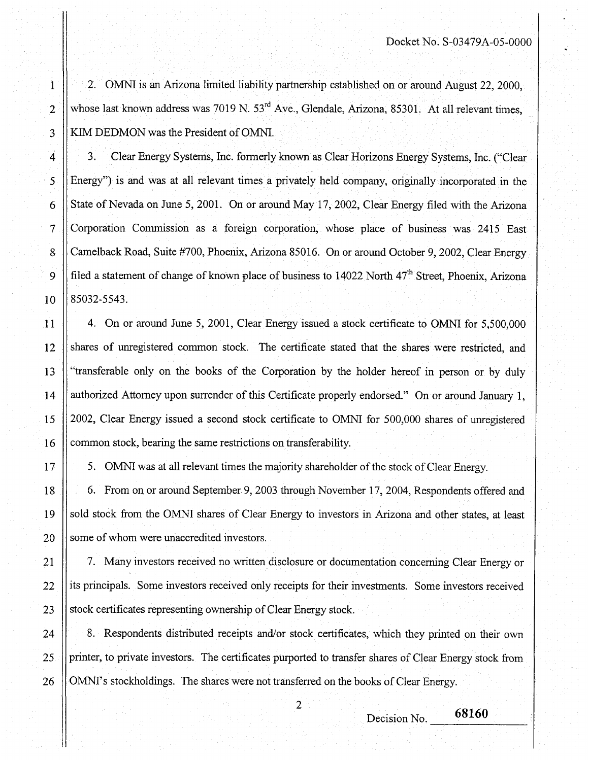2. OMNI is an Arizona limited liability partnership established on or around August 22, 2000, whose last known address was 7019 N.  $53<sup>rd</sup>$  Ave., Glendale, Arizona, 85301. At all relevant times, KIM DEDMON was the President of OMNI.

3. Clear Energy Systems, hc. formerly known as Clear Horizons Energy Systems, Inc. ("Clear Energy") is and was at all relevant times a privately held company, originally incorporated in the State of Nevada on June 5,2001. On or around May 17,2002, Clear Energy filed with the Arizona Corporation Commission as a foreign corporation, whose place of business was 2415 East Camelback Road, Suite #700, Phoenix, Arizona 85016. On or around October 9,2002, Clear Energy filed a statement of change of known place of business to 14022 North  $47<sup>th</sup>$  Street, Phoenix, Arizona 85032-5543.

4. On or around June 5, 2001, Clear Energy issued a stock certificate to OMNI for 5,500,000 shares of unregistered common stock. The certificate stated that the shares were restricted, and "transferable only on the books of the Corporation by the holder hereof in person or by duly authorized Attorney upon surrender of ths Certificate properly endorsed." On or around **January** <sup>1</sup>, 2002, Clear Energy issued a second stock certificate to OMNI for 500,000 shares of unregistered common stock, bearing the same restrictions on transferability.

5. OMNI was at all relevant times the majority shareholder of the stock of Clear Energy.

6. From on or around September 9,2003 through November 17,2004, Respondents offered and sold stock from the OMNI shares of Clear Energy to investors in Arizona and other states, at least some of whom were unaccredited investors.

7. Many investors received no written disclosure or documentation concerning Clear Energy or its principals. Some investors received only receipts for their investments. Some investors received stock certificates representing ownership of Clear Energy stock.

8. Respondents distributed receipts and/or stock certificates, which they printed on their own printer, to private investors. The certificates purported to transfer shares of Clear Energy stock from OMNI's stockholdings. The shares were not transferred on the books of Clear Energy.

 $\overline{2}$ 

Decision No.

68160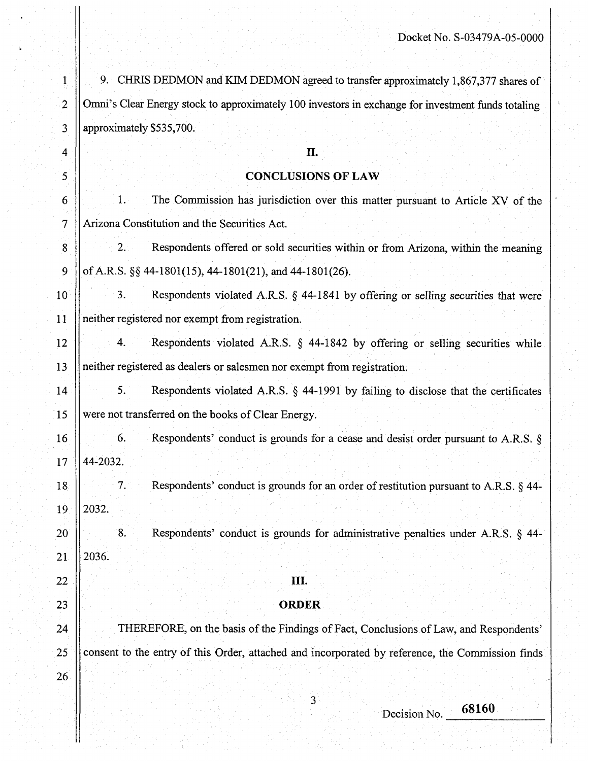| T               | 9. CHRIS DEDMON and KIM DEDMON agreed to transfer approximately 1,867,377 shares of                |
|-----------------|----------------------------------------------------------------------------------------------------|
| $\overline{2}$  | Omni's Clear Energy stock to approximately 100 investors in exchange for investment funds totaling |
| 3               | approximately \$535,700.                                                                           |
| 4               | П.                                                                                                 |
| 5               | <b>CONCLUSIONS OF LAW</b>                                                                          |
| 6               | The Commission has jurisdiction over this matter pursuant to Article XV of the<br>1.               |
| $\overline{7}$  | Arizona Constitution and the Securities Act.                                                       |
| 8               | 2.<br>Respondents offered or sold securities within or from Arizona, within the meaning            |
| 9               | of A.R.S. §§ 44-1801(15), 44-1801(21), and 44-1801(26).                                            |
| 10              | 3.<br>Respondents violated A.R.S. § 44-1841 by offering or selling securities that were            |
| 11              | neither registered nor exempt from registration.                                                   |
| 12              | Respondents violated A.R.S. § 44-1842 by offering or selling securities while<br>4.                |
| 13 <sup>5</sup> | neither registered as dealers or salesmen nor exempt from registration.                            |
| 14              | 5.<br>Respondents violated A.R.S. $\S$ 44-1991 by failing to disclose that the certificates        |
| 15              | were not transferred on the books of Clear Energy.                                                 |
| 16              | 6.<br>Respondents' conduct is grounds for a cease and desist order pursuant to A.R.S. $\S$         |
| 17 <sub>1</sub> | 44-2032.                                                                                           |
| 18              | 7.<br>Respondents' conduct is grounds for an order of restitution pursuant to A.R.S. § 44-         |
| 19              | 2032.                                                                                              |
| 20              | 8.<br>Respondents' conduct is grounds for administrative penalties under A.R.S. § 44-              |
| $\overline{21}$ | 2036.                                                                                              |
| $22\,$          | Ш.                                                                                                 |
| 23              | <b>ORDER</b>                                                                                       |
| 24              | THEREFORE, on the basis of the Findings of Fact, Conclusions of Law, and Respondents'              |
| 25              | consent to the entry of this Order, attached and incorporated by reference, the Commission finds   |
| $26^{\circ}$    |                                                                                                    |
|                 | 3<br>68160                                                                                         |
|                 | Decision No.                                                                                       |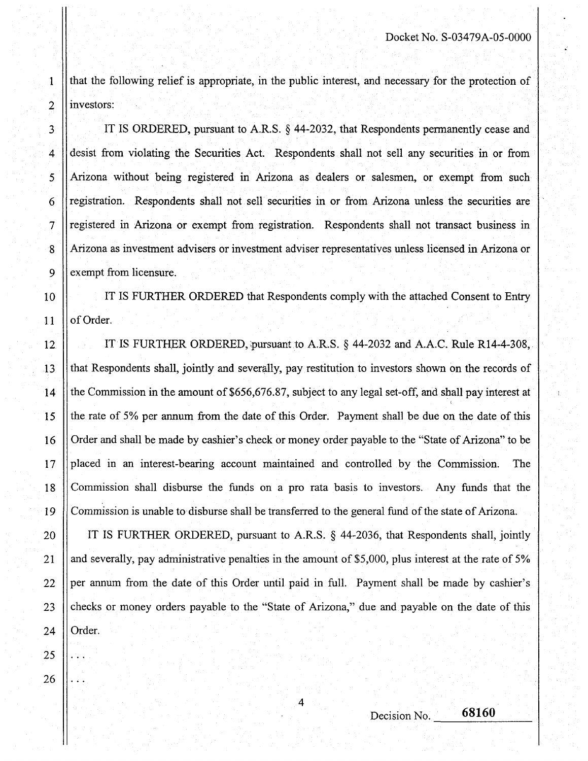that the following relief is appropriate, in the public interest, and necessary for the protection of investors:

IT IS ORDERED, pursuant to **A.R.S.** \$ 44-2032, that Respondents permanently cease and desist from violating the Securities Act. Respondents shall not sell any securities in or from Arizona without being registered in Arizona **as** dealers or salesmen, or exempt from such registration. Respondents shall not sell securities in or from Arizona unless the securities are registered in Arizona or exempt from registration. Respondents shall not transact business in Arizona as investment advisers or investment adviser representatives unless licensed in Arizona or exempt from licensure.

IT IS FURTHER ORDERED that Respondents comply with the attached Consent to Entry of Order.

IT IS FURTHER ORDERED, pursuant to **A.R.S.** \$ 44-2032 and A.A.C. Rule R14-4-308, that Respondents shall, jointly and severally, pay restitution to investors shown on the records of the Commission in the amount of \$656,676.87, subject to any legal sst-off, and shall pay interest at the rate of 5% per annum from the date of this Order. Payment shall be due on the date of this Order and shall be made by cashier's check or money order payable to the "State of Arizona" to be placed in an interest-bearing account maintained and controlled by the Commission. The Commission shall disburse the funds on a pro rata basis to investors. Any funds that the Commission is unable to disburse shall be transferred to the general fund of the state of Arizona.

IT IS FURTHER ORDERED, pursuant to A.R.S.  $\&$  44-2036, that Respondents shall, jointly and severally, pay administrative penalties in the amount of \$5,000, plus interest at the rate of 5% per annum from the date of this Order until paid in full. Payment shall be made by cashier's checks or money orders payable to the "State of Arizona," due and payable on the date of this Order.

4

25

...

...

1

2

3

4

5

6

7

8

9

10

11

12

13

14

15

16

17

18

19

20

21

22

23

24

26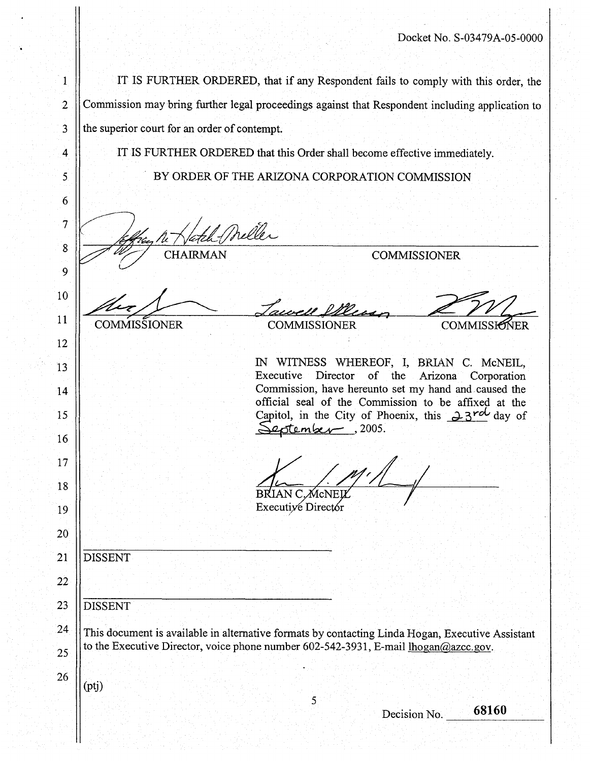<span id="page-4-0"></span>

| 1                |                                                                                                  |                                                                                                 | IT IS FURTHER ORDERED, that if any Respondent fails to comply with this order, the                           |  |  |  |
|------------------|--------------------------------------------------------------------------------------------------|-------------------------------------------------------------------------------------------------|--------------------------------------------------------------------------------------------------------------|--|--|--|
| $\overline{c}$   |                                                                                                  | Commission may bring further legal proceedings against that Respondent including application to |                                                                                                              |  |  |  |
| 3                |                                                                                                  | the superior court for an order of contempt.                                                    |                                                                                                              |  |  |  |
| 4                |                                                                                                  | IT IS FURTHER ORDERED that this Order shall become effective immediately.                       |                                                                                                              |  |  |  |
| 5.               |                                                                                                  | BY ORDER OF THE ARIZONA CORPORATION COMMISSION                                                  |                                                                                                              |  |  |  |
| 6                |                                                                                                  |                                                                                                 |                                                                                                              |  |  |  |
| 7                |                                                                                                  | Meller                                                                                          |                                                                                                              |  |  |  |
| $\boldsymbol{8}$ | CHAIRMAN<br><b>COMMISSIONER</b>                                                                  |                                                                                                 |                                                                                                              |  |  |  |
| 9                |                                                                                                  |                                                                                                 |                                                                                                              |  |  |  |
| 10               |                                                                                                  | revere este.                                                                                    |                                                                                                              |  |  |  |
| 11               | COMMISSIONER                                                                                     | <b>COMMISSIONER</b>                                                                             | <b>COMMISSIONER</b>                                                                                          |  |  |  |
| 12               |                                                                                                  |                                                                                                 |                                                                                                              |  |  |  |
| 13               |                                                                                                  |                                                                                                 | IN WITNESS WHEREOF, I, BRIAN C. McNEIL,<br>Executive Director of the Arizona Corporation                     |  |  |  |
| 14               |                                                                                                  |                                                                                                 | Commission, have hereunto set my hand and caused the<br>official seal of the Commission to be affixed at the |  |  |  |
| 15               |                                                                                                  | stember , 2005.                                                                                 | Capitol, in the City of Phoenix, this $23^{rd}$ day of                                                       |  |  |  |
| 16               |                                                                                                  |                                                                                                 |                                                                                                              |  |  |  |
| 17               |                                                                                                  |                                                                                                 |                                                                                                              |  |  |  |
| 18               |                                                                                                  | BRIAN C, McNELL                                                                                 |                                                                                                              |  |  |  |
| 19               |                                                                                                  | Executive Director                                                                              |                                                                                                              |  |  |  |
| 20               |                                                                                                  |                                                                                                 |                                                                                                              |  |  |  |
| 21               | <b>DISSENT</b>                                                                                   |                                                                                                 |                                                                                                              |  |  |  |
| 22               |                                                                                                  |                                                                                                 |                                                                                                              |  |  |  |
| 23               | <b>DISSENT</b>                                                                                   |                                                                                                 |                                                                                                              |  |  |  |
| 24               | This document is available in alternative formats by contacting Linda Hogan, Executive Assistant |                                                                                                 |                                                                                                              |  |  |  |
| 25               | to the Executive Director, voice phone number 602-542-3931, E-mail lhogan@azcc.gov.              |                                                                                                 |                                                                                                              |  |  |  |
| 26               |                                                                                                  |                                                                                                 |                                                                                                              |  |  |  |

*5* 

 $(ptj)$ 

Decision No. **68160**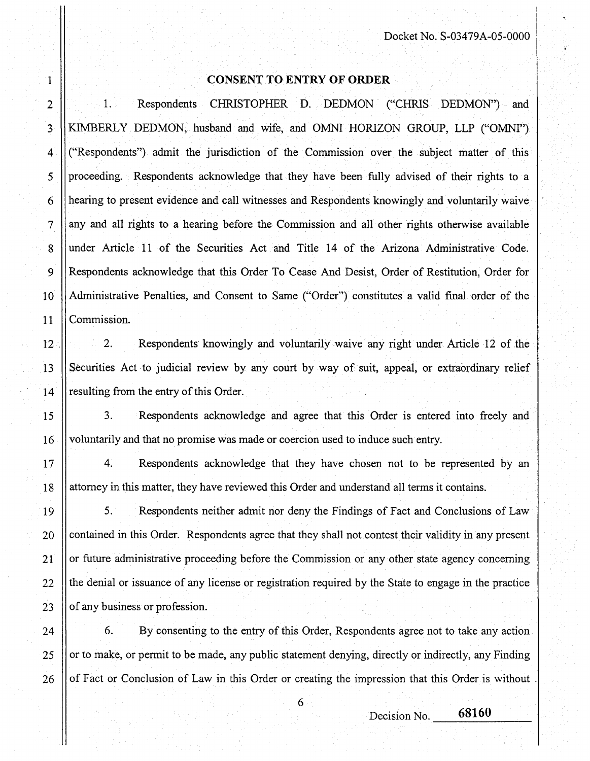## **CONSENT TO ENTRY OF ORDER**

<span id="page-5-0"></span>1

2

3

4

5

6

7

8

9

10

11

12

13

14

15

16

17

18

19

20

21

22

23

24

25

26

1. Respondents CHRISTOPHER D. DEDMON ("CHRIS DEDMON") and KIMBERLY DEDMON, husband and wife, and OMNI HORIZON GROUP, LLP ("OMNI") ("Respondents") admit the jurisdiction of the Commission over the subject matter of this proceeding. Respondents acknowledge that they have been fully advised of their rights to a hearing to present evidence and call witnesses and Respondents knowingly and voluntarily waive any and all rights to a hearing before the Commission and all other rights otherwise available under Article 11 of the Securities Act and Title 14 of the Arizona Administrative Code. Respondents acknowledge that this Order To Cease And Desist, Order of Restitution, Order for Administrative Penalties, and Consent to Same ("Order") constitutes a valid final order of the Commission.

2. Respondents knowingly and voluntarily waive any right under Article 12 of the Securities Act to judicial review by any court by way of suit, appeal, or extraordinary relief resulting from the entry of this Order.

3. Respondents acknowledge and agree that this Order is entered into freely and voluntarily and that no promise was made or coercion used to induce such entry.

4. Respondents acknowledge that they have chosen not to be represented by an attorney in this matter, they have reviewed this Order and understand all terms it contains.

*5.* Respondents neither admit nor deny the Findings of Fact and Conclusions of Law contained in this Order. Respondents agree that they shall not contest their validity in any present or hture administrative proceeding before the Commission or any other state agency concerning the denial or issuance of any license or registration required by the State to engage in the practice of any business or profession.

6. By consenting to the entry of this Order, Respondents agree not to take any action or to make, or permit to be made, any public statement denying, directly or indirectly, any Finding of Fact or Conclusion of Law in this Order or creating the impression that this Order is without .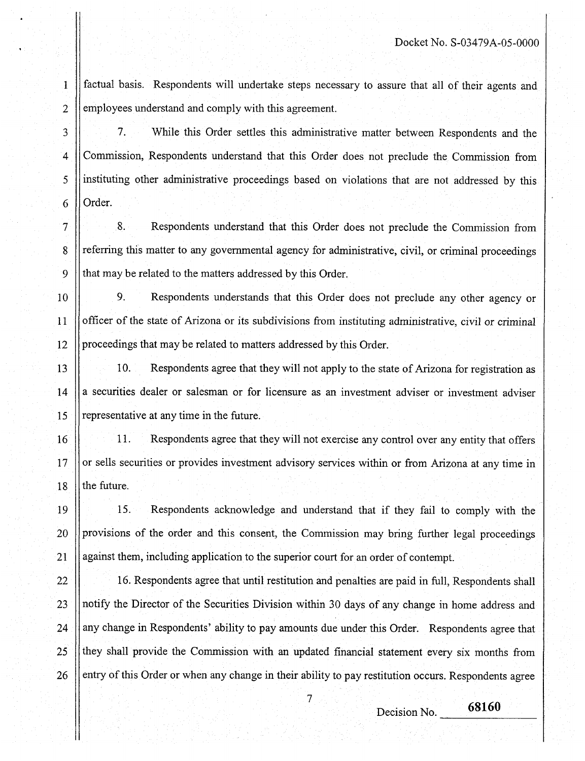factual basis. Respondents will undertake steps necessary to assure that all of their agents and employees understand and comply with this agreement.

7. While this Order settles this administrative matter between Respondents and the Zommission, Respondents understand that this Order does not preclude the Commission from instituting other administrative proceedings based on violations that are not addressed by this Order.

8. Respondents understand that this Order does not preclude the Commission from referring this matter to any governmental agency for administrative, civil, or criminal proceedings that may be related to the matters addressed by this Order.

10

11

12

21

7

6

8

9

<span id="page-6-0"></span>1

2

3

 $\overline{\mathbf{4}}$ 

5

9. Respondents understands that this Order does not preclude any other agency or officer of the state of Arizona or its subdivisions from instituting administrative, civil or criminal proceedings that may be related to matters addressed by this Order.

13 14 15 10. Respondents agree that they will not apply to the state of Arizona for registration as **i** securities dealer or salesman or for licensure as **an** investment adviser or investment adviser representative at any time in the future.

16 17 18 11. Respondents agree that they will not exercise any control over any entity that offers or sells securities or provides investment advisory services within or from Arizona at any time in he future.

19 20 15. Respondents acknowledge and understand that if they fail to comply with the provisions of the order and this consent, the Commission may bring further legal proceedings against them, including application to the superior court for an order of contempt.

22 23 24 *25*  26 16. Respondents agree that until restitution and penalties are paid in full, Respondents shall notify the Director of the Securities Division within 30 days of any change in home address and my change in Respondents' ability to pay amounts due under this Order. Respondents agree that hey shall provide the Commission with an updated financial statement every six months from entry of this Order or when any change in their ability to pay restitution occurs. Respondents agree

<sup>7</sup>**68160** Decision No.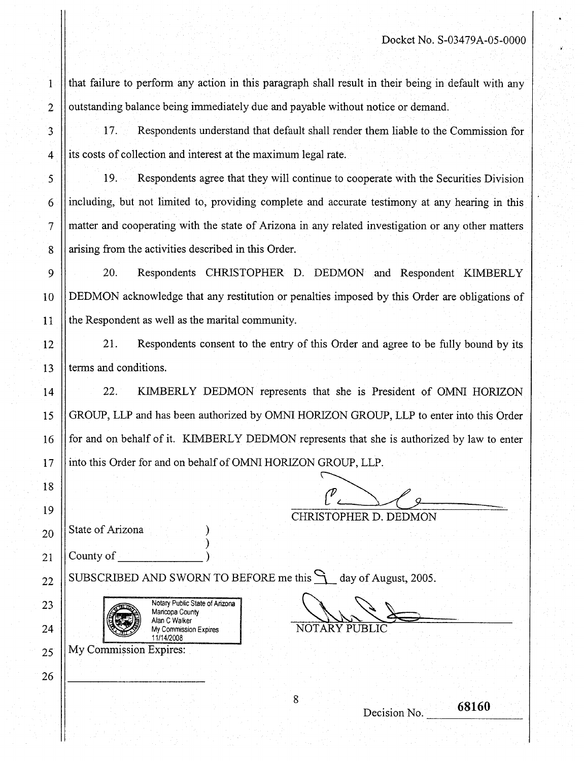that failure to perform any action in this paragraph shall result in their being in default with any outstanding balance being immediately due and payable without notice or demand.

17. Respondents understand that default shall render them liable to the Commission for its costs of collection and interest at the maximum legal rate.

19. Respondents agree that they will continue to cooperate with the Securities Division including, but not limited to, providing complete and accurate testimony at any hearing in this matter and cooperating with the state of Arizona in any related investigation or any other matters arising from the activities described in this Order.

20. Respondents CHRISTOPHER D. DEDMON and Respondent KIMBERLY DEDMON acknowledge that any restitution or penalties imposed by this Order are obligations of the Respondent as well as the marital community.

21. Respondents consent to the entry of this Order and agree to be fully bound by its terms and conditions.

22. KIMBERLY DEDMON represents that she is President of OMNI HORIZON GROUP, LLP and has been authorized by OMNI HORIZON GROUP, LLP to enter into this Order for and on behalf of it. KIMBERLY DEDMON represents that she is authorized by law to enter into this Order for and on behalf of OMNI HORIZON GROUP, LLP.

 ${\cal P}$  ,

State of Arizona<sup>1</sup>

County of

<span id="page-7-0"></span>1

2

3

4

5

6

7

8

9

10

11

12

13

14

15

16

17

18

19

20

21

22

23

24

25

26

SUBSCRIBED AND SWORN TO BEFORE me this  $\bigcap$  day of August, 2005.

 $)$  .



CHRISTOPHER D. DEDMON

NOTARY PUB

**68160**<br>
Decision No. 68160